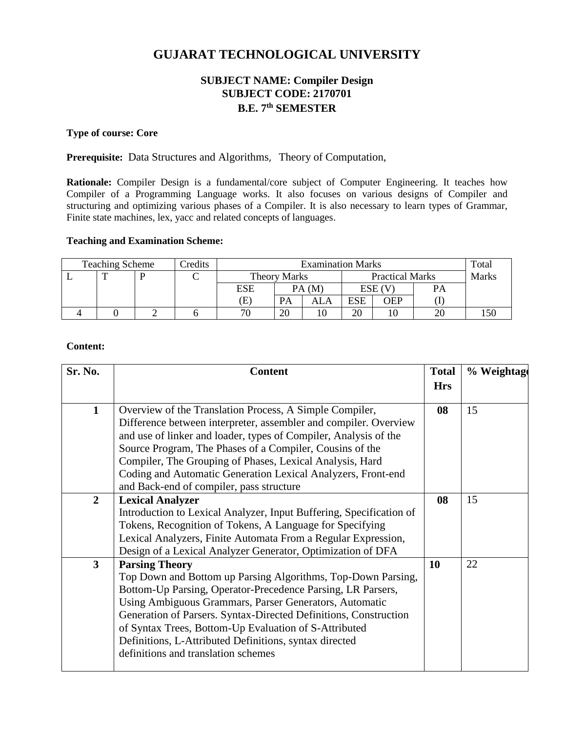# **GUJARAT TECHNOLOGICAL UNIVERSITY**

# **SUBJECT NAME: Compiler Design SUBJECT CODE: 2170701 B.E. 7 th SEMESTER**

# **Type of course: Core**

**Prerequisite:** Data Structures and Algorithms, Theory of Computation,

**Rationale:** Compiler Design is a fundamental/core subject of Computer Engineering. It teaches how Compiler of a Programming Language works. It also focuses on various designs of Compiler and structuring and optimizing various phases of a Compiler. It is also necessary to learn types of Grammar, Finite state machines, lex, yacc and related concepts of languages.

# **Teaching and Examination Scheme:**

| <b>Teaching Scheme</b> |  |  | <b>Predits</b> | <b>Examination Marks</b> |           |                        |     |        | Total |  |
|------------------------|--|--|----------------|--------------------------|-----------|------------------------|-----|--------|-------|--|
|                        |  |  | ◡              | Theory Marks             |           | <b>Practical Marks</b> |     |        | Marks |  |
|                        |  |  |                | <b>ESE</b>               |           | PA(M)                  |     | ESE (V | PA    |  |
|                        |  |  |                | Έ)                       | <b>PA</b> | ALA                    | ESE | OEP    |       |  |
|                        |  |  |                | 70                       | 20        |                        | 20  |        |       |  |

# **Content:**

| Sr. No.        | <b>Content</b>                                                                                                                                                                                                                                                                                                                                                                                                                               | <b>Total</b> | % Weightage |
|----------------|----------------------------------------------------------------------------------------------------------------------------------------------------------------------------------------------------------------------------------------------------------------------------------------------------------------------------------------------------------------------------------------------------------------------------------------------|--------------|-------------|
|                |                                                                                                                                                                                                                                                                                                                                                                                                                                              | <b>Hrs</b>   |             |
| $\mathbf{1}$   | Overview of the Translation Process, A Simple Compiler,<br>Difference between interpreter, assembler and compiler. Overview<br>and use of linker and loader, types of Compiler, Analysis of the<br>Source Program, The Phases of a Compiler, Cousins of the<br>Compiler, The Grouping of Phases, Lexical Analysis, Hard<br>Coding and Automatic Generation Lexical Analyzers, Front-end<br>and Back-end of compiler, pass structure          | 08           | 15          |
| $\overline{2}$ | <b>Lexical Analyzer</b><br>Introduction to Lexical Analyzer, Input Buffering, Specification of<br>Tokens, Recognition of Tokens, A Language for Specifying<br>Lexical Analyzers, Finite Automata From a Regular Expression,<br>Design of a Lexical Analyzer Generator, Optimization of DFA                                                                                                                                                   | 08           | 15          |
| $\mathbf{3}$   | <b>Parsing Theory</b><br>Top Down and Bottom up Parsing Algorithms, Top-Down Parsing,<br>Bottom-Up Parsing, Operator-Precedence Parsing, LR Parsers,<br>Using Ambiguous Grammars, Parser Generators, Automatic<br>Generation of Parsers. Syntax-Directed Definitions, Construction<br>of Syntax Trees, Bottom-Up Evaluation of S-Attributed<br>Definitions, L-Attributed Definitions, syntax directed<br>definitions and translation schemes | <b>10</b>    | 22          |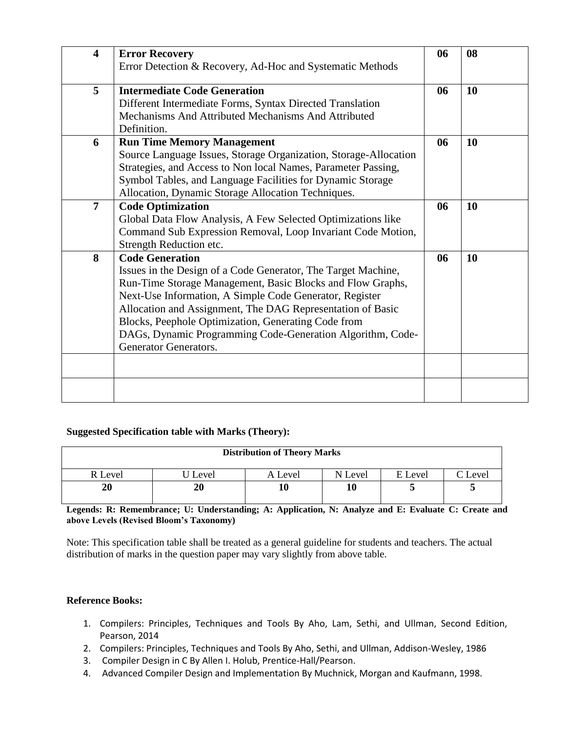| $\overline{\mathbf{4}}$ | <b>Error Recovery</b>                                            | 06 | 08 |
|-------------------------|------------------------------------------------------------------|----|----|
|                         | Error Detection & Recovery, Ad-Hoc and Systematic Methods        |    |    |
| 5                       | <b>Intermediate Code Generation</b>                              | 06 | 10 |
|                         | Different Intermediate Forms, Syntax Directed Translation        |    |    |
|                         | Mechanisms And Attributed Mechanisms And Attributed              |    |    |
|                         | Definition.                                                      |    |    |
| 6                       | <b>Run Time Memory Management</b>                                | 06 | 10 |
|                         | Source Language Issues, Storage Organization, Storage-Allocation |    |    |
|                         | Strategies, and Access to Non local Names, Parameter Passing,    |    |    |
|                         | Symbol Tables, and Language Facilities for Dynamic Storage       |    |    |
|                         | Allocation, Dynamic Storage Allocation Techniques.               |    |    |
| $\overline{7}$          | <b>Code Optimization</b>                                         | 06 | 10 |
|                         | Global Data Flow Analysis, A Few Selected Optimizations like     |    |    |
|                         | Command Sub Expression Removal, Loop Invariant Code Motion,      |    |    |
|                         | Strength Reduction etc.                                          |    |    |
| 8                       | <b>Code Generation</b>                                           | 06 | 10 |
|                         | Issues in the Design of a Code Generator, The Target Machine,    |    |    |
|                         | Run-Time Storage Management, Basic Blocks and Flow Graphs,       |    |    |
|                         | Next-Use Information, A Simple Code Generator, Register          |    |    |
|                         | Allocation and Assignment, The DAG Representation of Basic       |    |    |
|                         | Blocks, Peephole Optimization, Generating Code from              |    |    |
|                         | DAGs, Dynamic Programming Code-Generation Algorithm, Code-       |    |    |
|                         | <b>Generator Generators.</b>                                     |    |    |
|                         |                                                                  |    |    |
|                         |                                                                  |    |    |
|                         |                                                                  |    |    |

#### **Suggested Specification table with Marks (Theory):**

| <b>Distribution of Theory Marks</b> |       |         |         |         |         |  |  |  |
|-------------------------------------|-------|---------|---------|---------|---------|--|--|--|
| R Level                             | Level | A Level | N Level | E Level | C Level |  |  |  |
| 20                                  | 20    |         | 10      |         | ັ       |  |  |  |

**Legends: R: Remembrance; U: Understanding; A: Application, N: Analyze and E: Evaluate C: Create and above Levels (Revised Bloom's Taxonomy)**

Note: This specification table shall be treated as a general guideline for students and teachers. The actual distribution of marks in the question paper may vary slightly from above table.

#### **Reference Books:**

- 1. Compilers: Principles, Techniques and Tools By Aho, Lam, Sethi, and Ullman, Second Edition, Pearson, 2014
- 2. Compilers: Principles, Techniques and Tools By Aho, Sethi, and Ullman, Addison-Wesley, 1986
- 3. Compiler Design in C By Allen I. Holub, Prentice-Hall/Pearson.
- 4. Advanced Compiler Design and Implementation By Muchnick, Morgan and Kaufmann, 1998.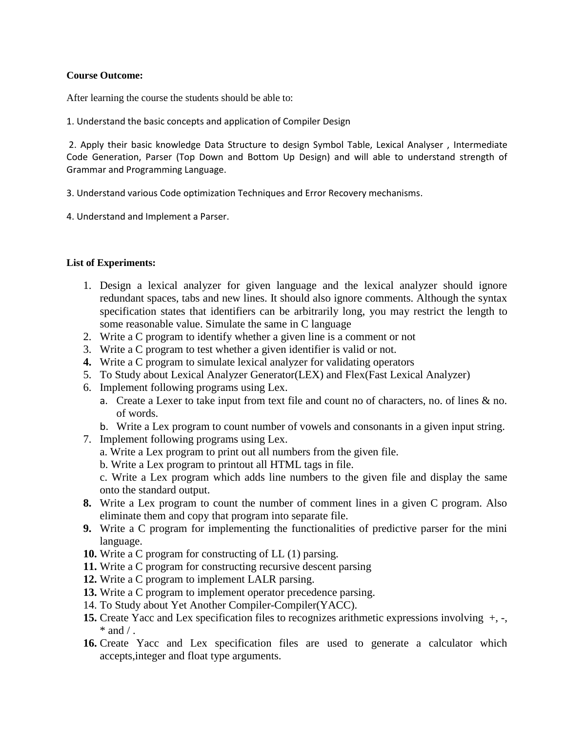#### **Course Outcome:**

After learning the course the students should be able to:

1. Understand the basic concepts and application of Compiler Design

2. Apply their basic knowledge Data Structure to design Symbol Table, Lexical Analyser , Intermediate Code Generation, Parser (Top Down and Bottom Up Design) and will able to understand strength of Grammar and Programming Language.

- 3. Understand various Code optimization Techniques and Error Recovery mechanisms.
- 4. Understand and Implement a Parser.

# **List of Experiments:**

- 1. Design a lexical analyzer for given language and the lexical analyzer should ignore redundant spaces, tabs and new lines. It should also ignore comments. Although the syntax specification states that identifiers can be arbitrarily long, you may restrict the length to some reasonable value. Simulate the same in C language
- 2. Write a C program to identify whether a given line is a comment or not
- 3. Write a C program to test whether a given identifier is valid or not.
- **4.** Write a C program to simulate lexical analyzer for validating operators
- 5. To Study about Lexical Analyzer Generator(LEX) and Flex(Fast Lexical Analyzer)
- 6. Implement following programs using Lex.
	- a. Create a Lexer to take input from text file and count no of characters, no. of lines & no. of words.
	- b. Write a Lex program to count number of vowels and consonants in a given input string.
- 7. Implement following programs using Lex.
	- a. Write a Lex program to print out all numbers from the given file.
	- b. Write a Lex program to printout all HTML tags in file.
	- c. Write a Lex program which adds line numbers to the given file and display the same onto the standard output.
- **8.** Write a Lex program to count the number of comment lines in a given C program. Also eliminate them and copy that program into separate file.
- **9.** Write a C program for implementing the functionalities of predictive parser for the mini language.
- **10.** Write a C program for constructing of LL (1) parsing.
- **11.** Write a C program for constructing recursive descent parsing
- **12.** Write a C program to implement LALR parsing.
- **13.** Write a C program to implement operator precedence parsing.
- 14. To Study about Yet Another Compiler-Compiler(YACC).
- **15.** Create Yacc and Lex specification files to recognizes arithmetic expressions involving+, -,  $*$  and  $/$ .
- **16.** Create Yacc and Lex specification files are used to generate a calculator which accepts,integer and float type arguments.